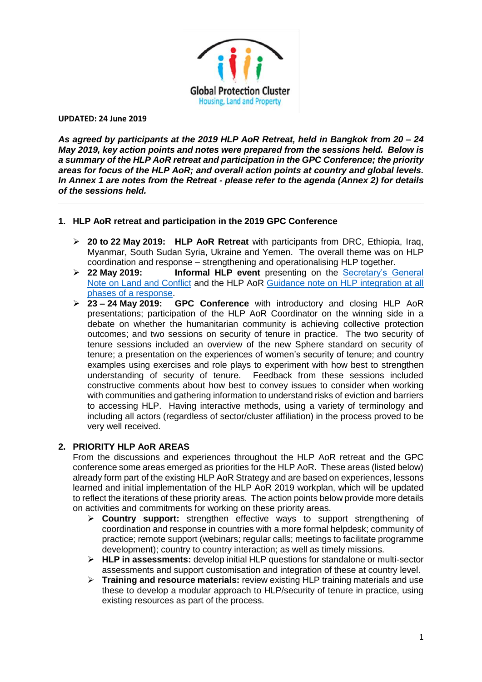

*As agreed by participants at the 2019 HLP AoR Retreat, held in Bangkok from 20 – 24 May 2019, key action points and notes were prepared from the sessions held. Below is a summary of the HLP AoR retreat and participation in the GPC Conference; the priority areas for focus of the HLP AoR; and overall action points at country and global levels. In Annex 1 are notes from the Retreat - please refer to the agenda (Annex 2) for details of the sessions held.*

### **1. HLP AoR retreat and participation in the 2019 GPC Conference**

- ➢ **20 to 22 May 2019: HLP AoR Retreat** with participants from DRC, Ethiopia, Iraq, Myanmar, South Sudan Syria, Ukraine and Yemen. The overall theme was on HLP coordination and response – strengthening and operationalising HLP together.
- ➢ **22 May 2019: Informal HLP event** presenting on the [Secretary's General](https://unhabitat.org/the-guidance-note-of-the-secretary-general-on-the-united-nations-and-land-and-conflict-is-endorsed/)  [Note on Land and Conflict](https://unhabitat.org/the-guidance-note-of-the-secretary-general-on-the-united-nations-and-land-and-conflict-is-endorsed/) and the HLP AoR [Guidance note on HLP integration at all](https://publications.iom.int/books/guidance-note-integrating-housing-land-and-property-issues-key-humanitarian-transitional-and)  [phases of a response.](https://publications.iom.int/books/guidance-note-integrating-housing-land-and-property-issues-key-humanitarian-transitional-and)
- ➢ **23 – 24 May 2019: GPC Conference** with introductory and closing HLP AoR presentations; participation of the HLP AoR Coordinator on the winning side in a debate on whether the humanitarian community is achieving collective protection outcomes; and two sessions on security of tenure in practice. The two security of tenure sessions included an overview of the new Sphere standard on security of tenure; a presentation on the experiences of women's security of tenure; and country examples using exercises and role plays to experiment with how best to strengthen understanding of security of tenure. Feedback from these sessions included constructive comments about how best to convey issues to consider when working with communities and gathering information to understand risks of eviction and barriers to accessing HLP. Having interactive methods, using a variety of terminology and including all actors (regardless of sector/cluster affiliation) in the process proved to be very well received.

### **2. PRIORITY HLP AoR AREAS**

From the discussions and experiences throughout the HLP AoR retreat and the GPC conference some areas emerged as priorities for the HLP AoR. These areas (listed below) already form part of the existing HLP AoR Strategy and are based on experiences, lessons learned and initial implementation of the HLP AoR 2019 workplan, which will be updated to reflect the iterations of these priority areas. The action points below provide more details on activities and commitments for working on these priority areas.

- ➢ **Country support:** strengthen effective ways to support strengthening of coordination and response in countries with a more formal helpdesk; community of practice; remote support (webinars; regular calls; meetings to facilitate programme development); country to country interaction; as well as timely missions.
- ➢ **HLP in assessments:** develop initial HLP questions for standalone or multi-sector assessments and support customisation and integration of these at country level.
- ➢ **Training and resource materials:** review existing HLP training materials and use these to develop a modular approach to HLP/security of tenure in practice, using existing resources as part of the process.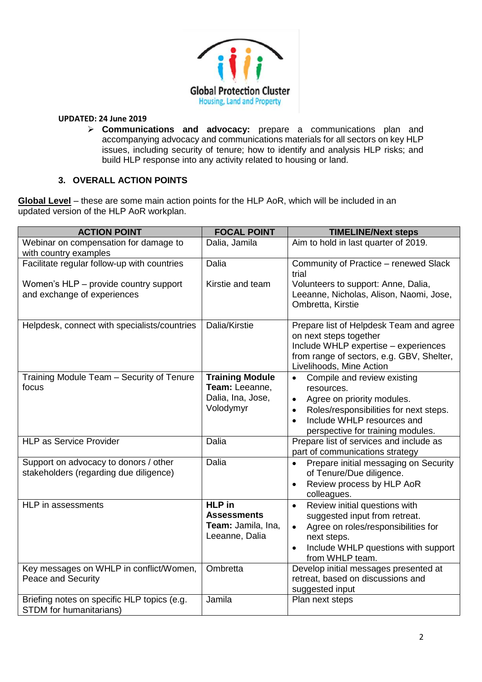

➢ **Communications and advocacy:** prepare a communications plan and accompanying advocacy and communications materials for all sectors on key HLP issues, including security of tenure; how to identify and analysis HLP risks; and build HLP response into any activity related to housing or land.

## **3. OVERALL ACTION POINTS**

**Global Level** – these are some main action points for the HLP AoR, which will be included in an updated version of the HLP AoR workplan.

| <b>ACTION POINT</b>                                                             | <b>FOCAL POINT</b>                                                          | <b>TIMELINE/Next steps</b>                                                                                                                                                                                     |
|---------------------------------------------------------------------------------|-----------------------------------------------------------------------------|----------------------------------------------------------------------------------------------------------------------------------------------------------------------------------------------------------------|
| Webinar on compensation for damage to<br>with country examples                  | Dalia, Jamila                                                               | Aim to hold in last quarter of 2019.                                                                                                                                                                           |
| Facilitate regular follow-up with countries                                     | Dalia                                                                       | Community of Practice - renewed Slack<br>trial                                                                                                                                                                 |
| Women's HLP - provide country support<br>and exchange of experiences            | Kirstie and team                                                            | Volunteers to support: Anne, Dalia,<br>Leeanne, Nicholas, Alison, Naomi, Jose,<br>Ombretta, Kirstie                                                                                                            |
| Helpdesk, connect with specialists/countries                                    | Dalia/Kirstie                                                               | Prepare list of Helpdesk Team and agree<br>on next steps together<br>Include WHLP expertise - experiences<br>from range of sectors, e.g. GBV, Shelter,<br>Livelihoods, Mine Action                             |
| Training Module Team - Security of Tenure<br>focus                              | <b>Training Module</b><br>Team: Leeanne,<br>Dalia, Ina, Jose,<br>Volodymyr  | Compile and review existing<br>resources.<br>Agree on priority modules.<br>$\bullet$<br>Roles/responsibilities for next steps.<br>$\bullet$<br>Include WHLP resources and<br>perspective for training modules. |
| <b>HLP as Service Provider</b>                                                  | Dalia                                                                       | Prepare list of services and include as<br>part of communications strategy                                                                                                                                     |
| Support on advocacy to donors / other<br>stakeholders (regarding due diligence) | Dalia                                                                       | Prepare initial messaging on Security<br>of Tenure/Due diligence.<br>Review process by HLP AoR<br>$\bullet$<br>colleagues.                                                                                     |
| HLP in assessments                                                              | <b>HLP</b> in<br><b>Assessments</b><br>Team: Jamila, Ina,<br>Leeanne, Dalia | Review initial questions with<br>$\bullet$<br>suggested input from retreat.<br>Agree on roles/responsibilities for<br>next steps.<br>Include WHLP questions with support<br>$\bullet$<br>from WHLP team.       |
| Key messages on WHLP in conflict/Women,<br>Peace and Security                   | Ombretta                                                                    | Develop initial messages presented at<br>retreat, based on discussions and<br>suggested input                                                                                                                  |
| Briefing notes on specific HLP topics (e.g.<br><b>STDM</b> for humanitarians)   | Jamila                                                                      | Plan next steps                                                                                                                                                                                                |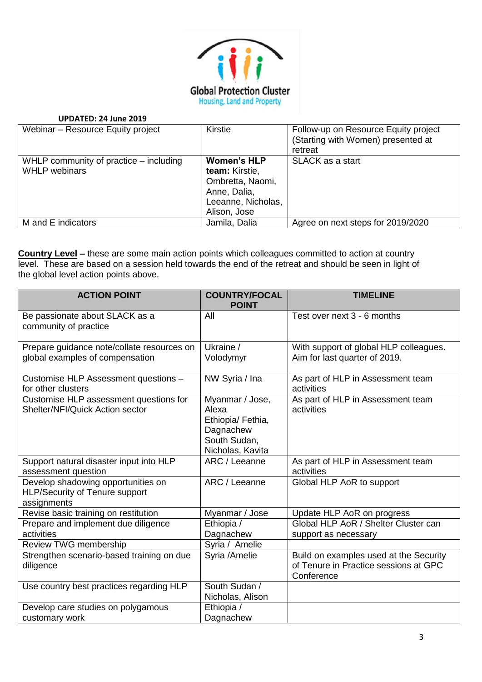

| Webinar - Resource Equity project                                | Kirstie                                                                                                        | Follow-up on Resource Equity project<br>(Starting with Women) presented at<br>retreat |
|------------------------------------------------------------------|----------------------------------------------------------------------------------------------------------------|---------------------------------------------------------------------------------------|
| WHLP community of practice $-$ including<br><b>WHLP</b> webinars | <b>Women's HLP</b><br>team: Kirstie,<br>Ombretta, Naomi,<br>Anne, Dalia,<br>Leeanne, Nicholas,<br>Alison, Jose | <b>SLACK</b> as a start                                                               |
| M and E indicators                                               | Jamila, Dalia                                                                                                  | Agree on next steps for 2019/2020                                                     |

**Country Level –** these are some main action points which colleagues committed to action at country level. These are based on a session held towards the end of the retreat and should be seen in light of the global level action points above.

| <b>ACTION POINT</b>                                                                        | <b>COUNTRY/FOCAL</b><br><b>POINT</b>                                                           | <b>TIMELINE</b>                                                                               |
|--------------------------------------------------------------------------------------------|------------------------------------------------------------------------------------------------|-----------------------------------------------------------------------------------------------|
| Be passionate about SLACK as a<br>community of practice                                    | All                                                                                            | Test over next 3 - 6 months                                                                   |
| Prepare guidance note/collate resources on<br>global examples of compensation              | Ukraine /<br>Volodymyr                                                                         | With support of global HLP colleagues.<br>Aim for last quarter of 2019.                       |
| Customise HLP Assessment questions -<br>for other clusters                                 | NW Syria / Ina                                                                                 | As part of HLP in Assessment team<br>activities                                               |
| Customise HLP assessment questions for<br><b>Shelter/NFI/Quick Action sector</b>           | Myanmar / Jose,<br>Alexa<br>Ethiopia/ Fethia,<br>Dagnachew<br>South Sudan,<br>Nicholas, Kavita | As part of HLP in Assessment team<br>activities                                               |
| Support natural disaster input into HLP<br>assessment question                             | ARC / Leeanne                                                                                  | As part of HLP in Assessment team<br>activities                                               |
| Develop shadowing opportunities on<br><b>HLP/Security of Tenure support</b><br>assignments | ARC / Leeanne                                                                                  | Global HLP AoR to support                                                                     |
| Revise basic training on restitution                                                       | Myanmar / Jose                                                                                 | Update HLP AoR on progress                                                                    |
| Prepare and implement due diligence<br>activities                                          | Ethiopia /<br>Dagnachew                                                                        | Global HLP AoR / Shelter Cluster can<br>support as necessary                                  |
| Review TWG membership                                                                      | Syria / Amelie                                                                                 |                                                                                               |
| Strengthen scenario-based training on due<br>diligence                                     | Syria /Amelie                                                                                  | Build on examples used at the Security<br>of Tenure in Practice sessions at GPC<br>Conference |
| Use country best practices regarding HLP                                                   | South Sudan /<br>Nicholas, Alison                                                              |                                                                                               |
| Develop care studies on polygamous<br>customary work                                       | Ethiopia /<br>Dagnachew                                                                        |                                                                                               |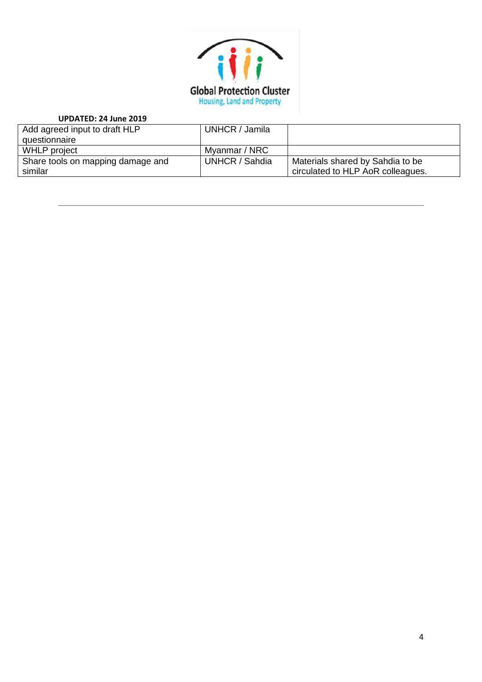

| UPDATED: 24 June 2019             |                |                                   |
|-----------------------------------|----------------|-----------------------------------|
| Add agreed input to draft HLP     | UNHCR / Jamila |                                   |
| questionnaire                     |                |                                   |
| <b>WHLP</b> project               | Myanmar / NRC  |                                   |
| Share tools on mapping damage and | UNHCR / Sahdia | Materials shared by Sahdia to be  |
| similar                           |                | circulated to HLP AoR colleagues. |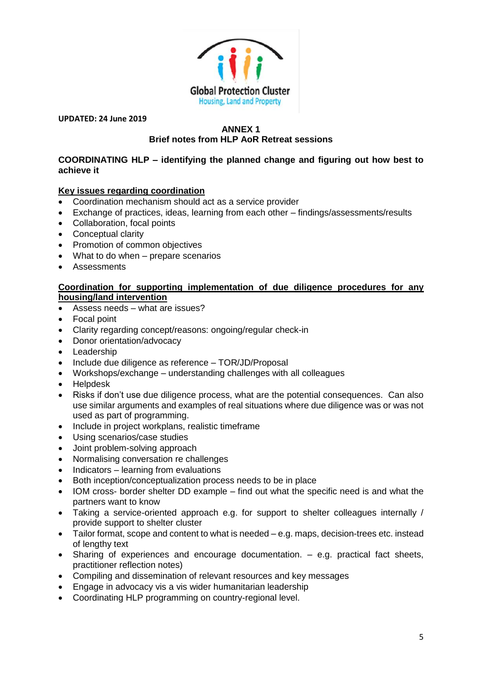

## **ANNEX 1 Brief notes from HLP AoR Retreat sessions**

### **COORDINATING HLP – identifying the planned change and figuring out how best to achieve it**

## **Key issues regarding coordination**

- Coordination mechanism should act as a service provider
- Exchange of practices, ideas, learning from each other findings/assessments/results
- Collaboration, focal points
- Conceptual clarity
- Promotion of common objectives
- What to do when prepare scenarios
- Assessments

#### **Coordination for supporting implementation of due diligence procedures for any housing/land intervention**

- Assess needs what are issues?
- Focal point
- Clarity regarding concept/reasons: ongoing/regular check-in
- Donor orientation/advocacy
- Leadership
- Include due diligence as reference TOR/JD/Proposal
- Workshops/exchange understanding challenges with all colleagues
- Helpdesk
- Risks if don't use due diligence process, what are the potential consequences. Can also use similar arguments and examples of real situations where due diligence was or was not used as part of programming.
- Include in project workplans, realistic timeframe
- Using scenarios/case studies
- Joint problem-solving approach
- Normalising conversation re challenges
- Indicators learning from evaluations
- Both inception/conceptualization process needs to be in place
- IOM cross- border shelter DD example find out what the specific need is and what the partners want to know
- Taking a service-oriented approach e.g. for support to shelter colleagues internally / provide support to shelter cluster
- Tailor format, scope and content to what is needed e.g. maps, decision-trees etc. instead of lengthy text
- Sharing of experiences and encourage documentation. e.g. practical fact sheets, practitioner reflection notes)
- Compiling and dissemination of relevant resources and key messages
- Engage in advocacy vis a vis wider humanitarian leadership
- Coordinating HLP programming on country-regional level.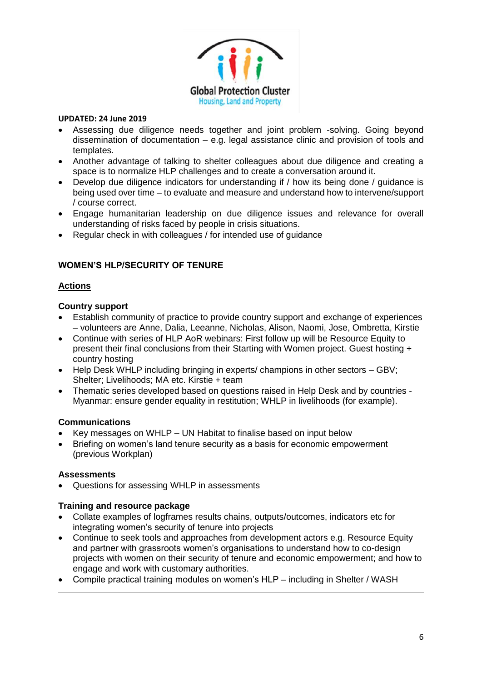

- Assessing due diligence needs together and joint problem -solving. Going beyond dissemination of documentation – e.g. legal assistance clinic and provision of tools and templates.
- Another advantage of talking to shelter colleagues about due diligence and creating a space is to normalize HLP challenges and to create a conversation around it.
- Develop due diligence indicators for understanding if / how its being done / guidance is being used over time – to evaluate and measure and understand how to intervene/support / course correct.
- Engage humanitarian leadership on due diligence issues and relevance for overall understanding of risks faced by people in crisis situations.
- Regular check in with colleagues / for intended use of guidance

# **WOMEN'S HLP/SECURITY OF TENURE**

## **Actions**

### **Country support**

- Establish community of practice to provide country support and exchange of experiences – volunteers are Anne, Dalia, Leeanne, Nicholas, Alison, Naomi, Jose, Ombretta, Kirstie
- Continue with series of HLP AoR webinars: First follow up will be Resource Equity to present their final conclusions from their Starting with Women project. Guest hosting + country hosting
- Help Desk WHLP including bringing in experts/ champions in other sectors GBV; Shelter; Livelihoods; MA etc. Kirstie + team
- Thematic series developed based on questions raised in Help Desk and by countries Myanmar: ensure gender equality in restitution; WHLP in livelihoods (for example).

# **Communications**

- Key messages on WHLP UN Habitat to finalise based on input below
- Briefing on women's land tenure security as a basis for economic empowerment (previous Workplan)

### **Assessments**

• Questions for assessing WHLP in assessments

### **Training and resource package**

- Collate examples of logframes results chains, outputs/outcomes, indicators etc for integrating women's security of tenure into projects
- Continue to seek tools and approaches from development actors e.g. Resource Equity and partner with grassroots women's organisations to understand how to co-design projects with women on their security of tenure and economic empowerment; and how to engage and work with customary authorities.
- Compile practical training modules on women's HLP including in Shelter / WASH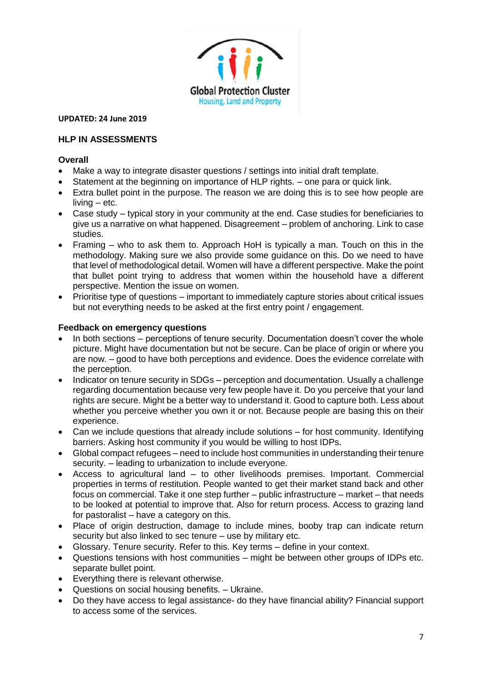

## **HLP IN ASSESSMENTS**

### **Overall**

- Make a way to integrate disaster questions / settings into initial draft template.
- Statement at the beginning on importance of HLP rights. one para or quick link.
- Extra bullet point in the purpose. The reason we are doing this is to see how people are living – etc.
- Case study typical story in your community at the end. Case studies for beneficiaries to give us a narrative on what happened. Disagreement – problem of anchoring. Link to case studies.
- Framing who to ask them to. Approach HoH is typically a man. Touch on this in the methodology. Making sure we also provide some guidance on this. Do we need to have that level of methodological detail. Women will have a different perspective. Make the point that bullet point trying to address that women within the household have a different perspective. Mention the issue on women.
- Prioritise type of questions important to immediately capture stories about critical issues but not everything needs to be asked at the first entry point / engagement.

#### **Feedback on emergency questions**

- In both sections perceptions of tenure security. Documentation doesn't cover the whole picture. Might have documentation but not be secure. Can be place of origin or where you are now. – good to have both perceptions and evidence. Does the evidence correlate with the perception.
- Indicator on tenure security in SDGs perception and documentation. Usually a challenge regarding documentation because very few people have it. Do you perceive that your land rights are secure. Might be a better way to understand it. Good to capture both. Less about whether you perceive whether you own it or not. Because people are basing this on their experience.
- Can we include questions that already include solutions for host community. Identifying barriers. Asking host community if you would be willing to host IDPs.
- Global compact refugees need to include host communities in understanding their tenure security. – leading to urbanization to include everyone.
- Access to agricultural land to other livelihoods premises. Important. Commercial properties in terms of restitution. People wanted to get their market stand back and other focus on commercial. Take it one step further – public infrastructure – market – that needs to be looked at potential to improve that. Also for return process. Access to grazing land for pastoralist – have a category on this.
- Place of origin destruction, damage to include mines, booby trap can indicate return security but also linked to sec tenure – use by military etc.
- Glossary. Tenure security. Refer to this. Key terms define in your context.
- Questions tensions with host communities might be between other groups of IDPs etc. separate bullet point.
- Everything there is relevant otherwise.
- Questions on social housing benefits. Ukraine.
- Do they have access to legal assistance- do they have financial ability? Financial support to access some of the services.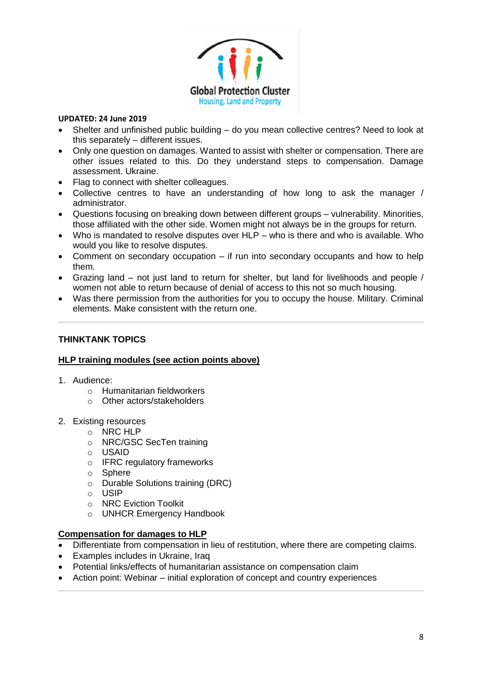

- Shelter and unfinished public building do you mean collective centres? Need to look at this separately – different issues.
- Only one question on damages. Wanted to assist with shelter or compensation. There are other issues related to this. Do they understand steps to compensation. Damage assessment. Ukraine.
- Flag to connect with shelter colleagues.
- Collective centres to have an understanding of how long to ask the manager / administrator.
- Questions focusing on breaking down between different groups vulnerability. Minorities, those affiliated with the other side. Women might not always be in the groups for return.
- Who is mandated to resolve disputes over HLP who is there and who is available. Who would you like to resolve disputes.
- Comment on secondary occupation if run into secondary occupants and how to help them.
- Grazing land not just land to return for shelter, but land for livelihoods and people / women not able to return because of denial of access to this not so much housing.
- Was there permission from the authorities for you to occupy the house. Military. Criminal elements. Make consistent with the return one.

# **THINKTANK TOPICS**

### **HLP training modules (see action points above)**

- 1. Audience:
	- o Humanitarian fieldworkers
	- o Other actors/stakeholders
- 2. Existing resources
	- o NRC HLP
	- o NRC/GSC SecTen training
	- o USAID
	- o IFRC regulatory frameworks
	- o Sphere
	- $\circ$  Durable Solutions training (DRC)
	- $\circ$  USIP
	- o NRC Eviction Toolkit
	- o UNHCR Emergency Handbook

#### **Compensation for damages to HLP**

- Differentiate from compensation in lieu of restitution, where there are competing claims.
- Examples includes in Ukraine, Iraq
- Potential links/effects of humanitarian assistance on compensation claim
- Action point: Webinar initial exploration of concept and country experiences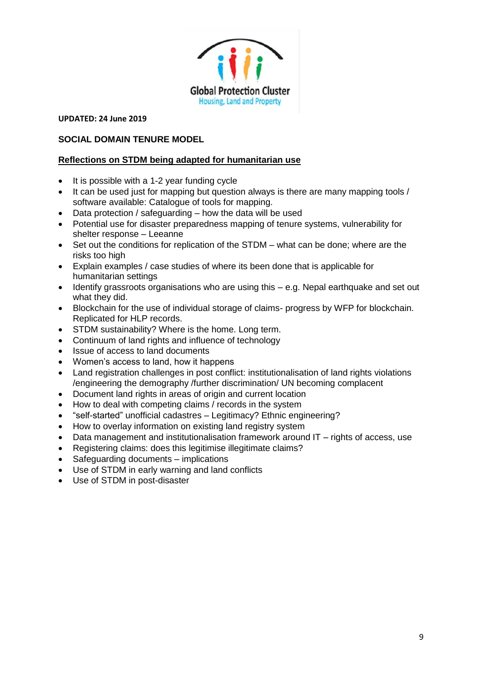

# **SOCIAL DOMAIN TENURE MODEL**

# **Reflections on STDM being adapted for humanitarian use**

- It is possible with a 1-2 year funding cycle
- It can be used just for mapping but question always is there are many mapping tools / software available: Catalogue of tools for mapping.
- Data protection / safeguarding how the data will be used
- Potential use for disaster preparedness mapping of tenure systems, vulnerability for shelter response – Leeanne
- Set out the conditions for replication of the STDM what can be done; where are the risks too high
- Explain examples / case studies of where its been done that is applicable for humanitarian settings
- Identify grassroots organisations who are using this e.g. Nepal earthquake and set out what they did.
- Blockchain for the use of individual storage of claims- progress by WFP for blockchain. Replicated for HLP records.
- STDM sustainability? Where is the home. Long term.
- Continuum of land rights and influence of technology
- Issue of access to land documents
- Women's access to land, how it happens
- Land registration challenges in post conflict: institutionalisation of land rights violations /engineering the demography /further discrimination/ UN becoming complacent
- Document land rights in areas of origin and current location
- How to deal with competing claims / records in the system
- "self-started" unofficial cadastres Legitimacy? Ethnic engineering?
- How to overlay information on existing land registry system
- Data management and institutionalisation framework around IT rights of access, use
- Registering claims: does this legitimise illegitimate claims?
- Safeguarding documents implications
- Use of STDM in early warning and land conflicts
- Use of STDM in post-disaster